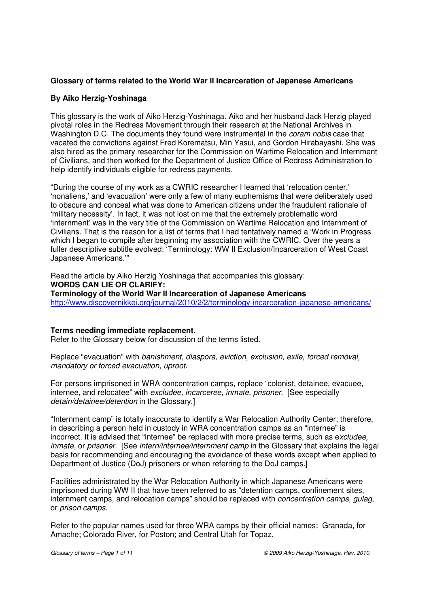# **Glossary of terms related to the World War II Incarceration of Japanese Americans**

# **By Aiko Herzig-Yoshinaga**

This glossary is the work of Aiko Herzig-Yoshinaga. Aiko and her husband Jack Herzig played pivotal roles in the Redress Movement through their research at the National Archives in Washington D.C. The documents they found were instrumental in the *coram nobis* case that vacated the convictions against Fred Korematsu, Min Yasui, and Gordon Hirabayashi. She was also hired as the primary researcher for the Commission on Wartime Relocation and Internment of Civilians, and then worked for the Department of Justice Office of Redress Administration to help identify individuals eligible for redress payments.

"During the course of my work as a CWRIC researcher I learned that 'relocation center,' 'nonaliens,' and 'evacuation' were only a few of many euphemisms that were deliberately used to obscure and conceal what was done to American citizens under the fraudulent rationale of 'military necessity'. In fact, it was not lost on me that the extremely problematic word 'internment' was in the very title of the Commission on Wartime Relocation and Internment of Civilians. That is the reason for a list of terms that I had tentatively named a 'Work in Progress' which I began to compile after beginning my association with the CWRIC. Over the years a fuller descriptive subtitle evolved: 'Terminology: WW II Exclusion/Incarceration of West Coast Japanese Americans.'"

Read the article by Aiko Herzig Yoshinaga that accompanies this glossary: **WORDS CAN LIE OR CLARIFY: Terminology of the World War II Incarceration of Japanese Americans**  http://www.discovernikkei.org/journal/2010/2/2/terminology-incarceration-japanese-americans/

# **Terms needing immediate replacement.**

Refer to the Glossary below for discussion of the terms listed.

Replace "evacuation" with banishment, diaspora, eviction, exclusion, exile, forced removal, mandatory or forced evacuation, uproot.

For persons imprisoned in WRA concentration camps, replace "colonist, detainee, evacuee, internee, and relocatee" with *excludee, incarceree, inmate, prisoner*. [See especially detain/detainee/detention in the Glossary.]

"Internment camp" is totally inaccurate to identify a War Relocation Authority Center; therefore, in describing a person held in custody in WRA concentration camps as an "internee" is incorrect. It is advised that "internee" be replaced with more precise terms, such as excludee, inmate, or prisoner. [See intern/internee/internment camp in the Glossary that explains the legal basis for recommending and encouraging the avoidance of these words except when applied to Department of Justice (DoJ) prisoners or when referring to the DoJ camps.]

Facilities administrated by the War Relocation Authority in which Japanese Americans were imprisoned during WW II that have been referred to as "detention camps, confinement sites, internment camps, and relocation camps" should be replaced with concentration camps, gulag, or prison camps.

Refer to the popular names used for three WRA camps by their official names: Granada, for Amache; Colorado River, for Poston; and Central Utah for Topaz.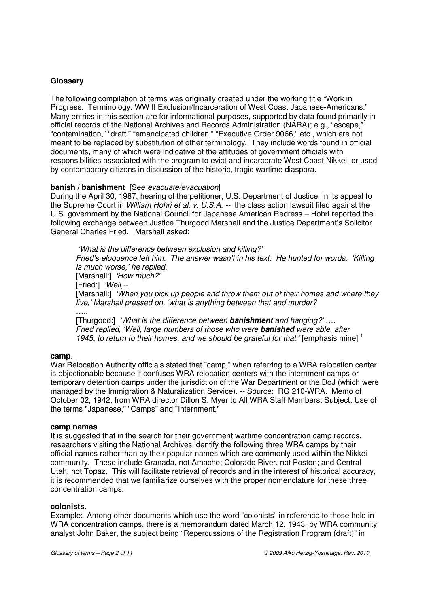# **Glossary**

The following compilation of terms was originally created under the working title "Work in Progress. Terminology: WW II Exclusion/Incarceration of West Coast Japanese-Americans." Many entries in this section are for informational purposes, supported by data found primarily in official records of the National Archives and Records Administration (NARA); e.g., "escape," "contamination," "draft," "emancipated children," "Executive Order 9066," etc., which are not meant to be replaced by substitution of other terminology. They include words found in official documents, many of which were indicative of the attitudes of government officials with responsibilities associated with the program to evict and incarcerate West Coast Nikkei, or used by contemporary citizens in discussion of the historic, tragic wartime diaspora.

# **banish / banishment** [See evacuate/evacuation]

During the April 30, 1987, hearing of the petitioner, U.S. Department of Justice, in its appeal to the Supreme Court in William Hohri et al. v. U.S.A. -- the class action lawsuit filed against the U.S. government by the National Council for Japanese American Redress – Hohri reported the following exchange between Justice Thurgood Marshall and the Justice Department's Solicitor General Charles Fried. Marshall asked:

 'What is the difference between exclusion and killing?' Fried's eloquence left him. The answer wasn't in his text. He hunted for words. 'Killing is much worse,' he replied. [Marshall:] 'How much?' [Fried:] 'Well,--[Marshall:] 'When you pick up people and throw them out of their homes and where they live,' Marshall pressed on, 'what is anything between that and murder? ….<br>……

 [Thurgood:] 'What is the difference between **banishment** and hanging?' …. Fried replied, 'Well, large numbers of those who were **banished** were able, after 1945, to return to their homes, and we should be grateful for that. [emphasis mine]  $<sup>1</sup>$ </sup>

#### **camp**.

War Relocation Authority officials stated that "camp," when referring to a WRA relocation center is objectionable because it confuses WRA relocation centers with the internment camps or temporary detention camps under the jurisdiction of the War Department or the DoJ (which were managed by the Immigration & Naturalization Service). -- Source: RG 210-WRA. Memo of October 02, 1942, from WRA director Dillon S. Myer to All WRA Staff Members; Subject: Use of the terms "Japanese," "Camps" and "Internment."

#### **camp names**.

It is suggested that in the search for their government wartime concentration camp records, researchers visiting the National Archives identify the following three WRA camps by their official names rather than by their popular names which are commonly used within the Nikkei community. These include Granada, not Amache; Colorado River, not Poston; and Central Utah, not Topaz. This will facilitate retrieval of records and in the interest of historical accuracy, it is recommended that we familiarize ourselves with the proper nomenclature for these three concentration camps.

# **colonists**.

Example: Among other documents which use the word "colonists" in reference to those held in WRA concentration camps, there is a memorandum dated March 12, 1943, by WRA community analyst John Baker, the subject being "Repercussions of the Registration Program (draft)" in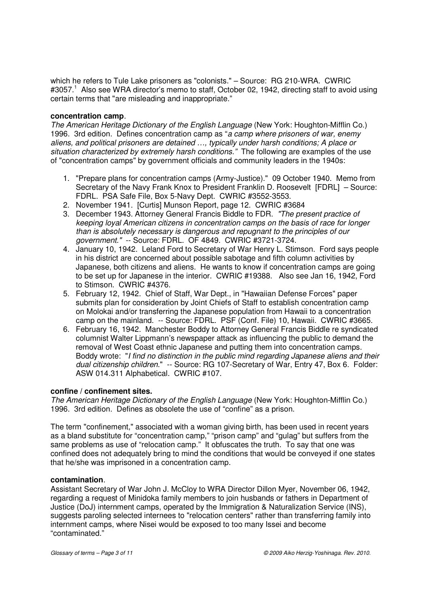which he refers to Tule Lake prisoners as "colonists." – Source: RG 210-WRA. CWRIC #3057.<sup>1</sup> Also see WRA director's memo to staff, October 02, 1942, directing staff to avoid using certain terms that "are misleading and inappropriate."

## **concentration camp**.

The American Heritage Dictionary of the English Language (New York: Houghton-Mifflin Co.) 1996. 3rd edition. Defines concentration camp as "a camp where prisoners of war, enemy aliens, and political prisoners are detained …, typically under harsh conditions; A place or situation characterized by extremely harsh conditions." The following are examples of the use of "concentration camps" by government officials and community leaders in the 1940s:

- 1. "Prepare plans for concentration camps (Army-Justice)." 09 October 1940. Memo from Secretary of the Navy Frank Knox to President Franklin D. Roosevelt [FDRL] – Source: FDRL. PSA Safe File, Box 5-Navy Dept. CWRIC #3552-3553.
- 2. November 1941. [Curtis] Munson Report, page 12. CWRIC #3684
- 3. December 1943. Attorney General Francis Biddle to FDR. "The present practice of keeping loyal American citizens in concentration camps on the basis of race for longer than is absolutely necessary is dangerous and repugnant to the principles of our government." -- Source: FDRL. OF 4849. CWRIC #3721-3724.
- 4. January 10, 1942. Leland Ford to Secretary of War Henry L. Stimson. Ford says people in his district are concerned about possible sabotage and fifth column activities by Japanese, both citizens and aliens. He wants to know if concentration camps are going to be set up for Japanese in the interior. CWRIC #19388. Also see Jan 16, 1942, Ford to Stimson. CWRIC #4376.
- 5. February 12, 1942. Chief of Staff, War Dept., in "Hawaiian Defense Forces" paper submits plan for consideration by Joint Chiefs of Staff to establish concentration camp on Molokai and/or transferring the Japanese population from Hawaii to a concentration camp on the mainland. -- Source: FDRL. PSF (Conf. File) 10, Hawaii. CWRIC #3665.
- 6. February 16, 1942. Manchester Boddy to Attorney General Francis Biddle re syndicated columnist Walter Lippmann's newspaper attack as influencing the public to demand the removal of West Coast ethnic Japanese and putting them into concentration camps. Boddy wrote: "I find no distinction in the public mind regarding Japanese aliens and their dual citizenship children." -- Source: RG 107-Secretary of War, Entry 47, Box 6. Folder: ASW 014.311 Alphabetical. CWRIC #107.

# **confine / confinement sites.**

The American Heritage Dictionary of the English Language (New York: Houghton-Mifflin Co.) 1996. 3rd edition. Defines as obsolete the use of "confine" as a prison.

The term "confinement," associated with a woman giving birth, has been used in recent years as a bland substitute for "concentration camp," "prison camp" and "gulag" but suffers from the same problems as use of "relocation camp." It obfuscates the truth. To say that one was confined does not adequately bring to mind the conditions that would be conveyed if one states that he/she was imprisoned in a concentration camp.

# **contamination**.

Assistant Secretary of War John J. McCloy to WRA Director Dillon Myer, November 06, 1942, regarding a request of Minidoka family members to join husbands or fathers in Department of Justice (DoJ) internment camps, operated by the Immigration & Naturalization Service (INS), suggests paroling selected internees to "relocation centers" rather than transferring family into internment camps, where Nisei would be exposed to too many Issei and become "contaminated."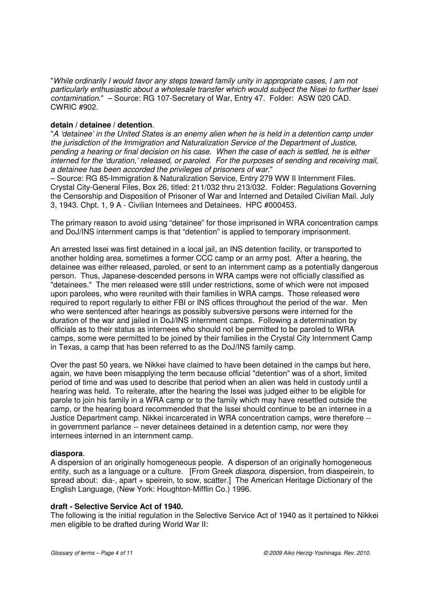"While ordinarily I would favor any steps toward family unity in appropriate cases, I am not particularly enthusiastic about a wholesale transfer which would subject the Nisei to further Issei contamination." – Source: RG 107-Secretary of War, Entry 47. Folder: ASW 020 CAD. CWRIC #902.

# **detain / detainee / detention**.

"A 'detainee' in the United States is an enemy alien when he is held in a detention camp under the jurisdiction of the Immigration and Naturalization Service of the Department of Justice, pending a hearing or final decision on his case. When the case of each is settled, he is either interned for the 'duration,' released, or paroled. For the purposes of sending and receiving mail, a detainee has been accorded the privileges of prisoners of war."

– Source: RG 85-Immigration & Naturalization Service, Entry 279 WW II Internment Files. Crystal City-General Files, Box 26, titled: 211/032 thru 213/032. Folder: Regulations Governing the Censorship and Disposition of Prisoner of War and Interned and Detailed Civilian Mail. July 3, 1943. Chpt. 1, 9 A - Civilian Internees and Detainees. HPC #000453.

The primary reason to avoid using "detainee" for those imprisoned in WRA concentration camps and DoJ/INS internment camps is that "detention" is applied to temporary imprisonment.

An arrested Issei was first detained in a local jail, an INS detention facility, or transported to another holding area, sometimes a former CCC camp or an army post. After a hearing, the detainee was either released, paroled, or sent to an internment camp as a potentially dangerous person. Thus, Japanese-descended persons in WRA camps were not officially classified as "detainees." The men released were still under restrictions, some of which were not imposed upon parolees, who were reunited with their families in WRA camps. Those released were required to report regularly to either FBI or INS offices throughout the period of the war. Men who were sentenced after hearings as possibly subversive persons were interned for the duration of the war and jailed in DoJ/INS internment camps. Following a determination by officials as to their status as internees who should not be permitted to be paroled to WRA camps, some were permitted to be joined by their families in the Crystal City Internment Camp in Texas, a camp that has been referred to as the DoJ/INS family camp.

Over the past 50 years, we Nikkei have claimed to have been detained in the camps but here, again, we have been misapplying the term because official "detention" was of a short, limited period of time and was used to describe that period when an alien was held in custody until a hearing was held. To reiterate, after the hearing the Issei was judged either to be eligible for parole to join his family in a WRA camp or to the family which may have resettled outside the camp, or the hearing board recommended that the Issei should continue to be an internee in a Justice Department camp. Nikkei incarcerated in WRA concentration camps, were therefore - in government parlance -- never detainees detained in a detention camp, nor were they internees interned in an internment camp.

# **diaspora**.

A dispersion of an originally homogeneous people. A disperson of an originally homogeneous entity, such as a language or a culture. [From Greek *diaspora*, dispersion, from diaspeirein, to spread about: dia-, apart + speirein, to sow, scatter.] The American Heritage Dictionary of the English Language, (New York: Houghton-Mifflin Co.) 1996.

# **draft - Selective Service Act of 1940.**

The following is the initial regulation in the Selective Service Act of 1940 as it pertained to Nikkei men eligible to be drafted during World War II: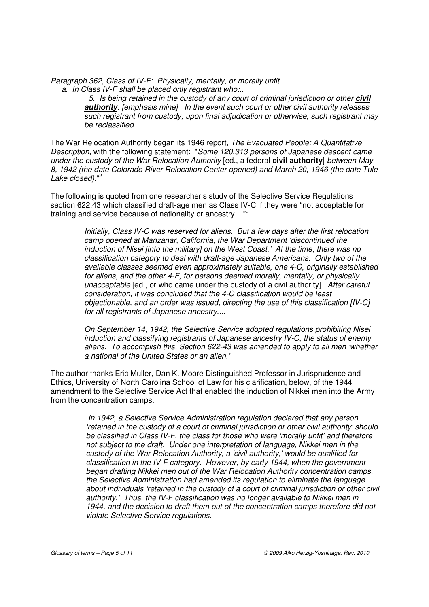Paragraph 362, Class of IV-F: Physically, mentally, or morally unfit.

a. In Class IV-F shall be placed only registrant who:..

 5. Is being retained in the custody of any court of criminal jurisdiction or other **civil authority**. [emphasis mine] In the event such court or other civil authority releases such registrant from custody, upon final adjudication or otherwise, such registrant may be reclassified.

The War Relocation Authority began its 1946 report, The Evacuated People: A Quantitative Description, with the following statement: "Some 120,313 persons of Japanese descent came under the custody of the War Relocation Authority [ed., a federal **civil authority**] between May 8, 1942 (the date Colorado River Relocation Center opened) and March 20, 1946 (the date Tule Lake closed)."<sup>2</sup>

The following is quoted from one researcher's study of the Selective Service Regulations section 622.43 which classified draft-age men as Class IV-C if they were "not acceptable for training and service because of nationality or ancestry....":

> Initially, Class IV-C was reserved for aliens. But a few days after the first relocation camp opened at Manzanar, California, the War Department 'discontinued the induction of Nisei [into the military] on the West Coast.' At the time, there was no classification category to deal with draft-age Japanese Americans. Only two of the available classes seemed even approximately suitable, one 4-C, originally established for aliens, and the other 4-F, for persons deemed morally, mentally, or physically unacceptable [ed., or who came under the custody of a civil authority]. After careful consideration, it was concluded that the 4-C classification would be least objectionable, and an order was issued, directing the use of this classification [IV-C] for all registrants of Japanese ancestry....

> On September 14, 1942, the Selective Service adopted regulations prohibiting Nisei induction and classifying registrants of Japanese ancestry IV-C, the status of enemy aliens. To accomplish this, Section 622-43 was amended to apply to all men 'whether a national of the United States or an alien.'

The author thanks Eric Muller, Dan K. Moore Distinguished Professor in Jurisprudence and Ethics, University of North Carolina School of Law for his clarification, below, of the 1944 amendment to the Selective Service Act that enabled the induction of Nikkei men into the Army from the concentration camps.

> In 1942, a Selective Service Administration regulation declared that any person 'retained in the custody of a court of criminal jurisdiction or other civil authority' should be classified in Class IV-F, the class for those who were 'morally unfit' and therefore not subject to the draft. Under one interpretation of language, Nikkei men in the custody of the War Relocation Authority, a 'civil authority,' would be qualified for classification in the IV-F category. However, by early 1944, when the government began drafting Nikkei men out of the War Relocation Authority concentration camps, the Selective Administration had amended its regulation to eliminate the language about individuals 'retained in the custody of a court of criminal jurisdiction or other civil authority.' Thus, the IV-F classification was no longer available to Nikkei men in 1944, and the decision to draft them out of the concentration camps therefore did not violate Selective Service regulations.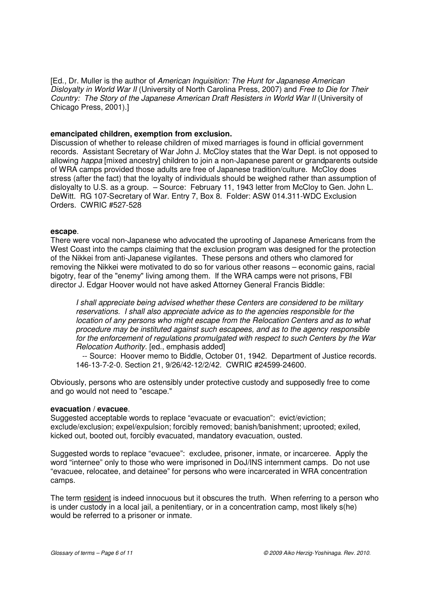[Ed., Dr. Muller is the author of American Inquisition: The Hunt for Japanese American Disloyalty in World War II (University of North Carolina Press, 2007) and Free to Die for Their Country: The Story of the Japanese American Draft Resisters in World War II (University of Chicago Press, 2001).]

## **emancipated children, exemption from exclusion.**

Discussion of whether to release children of mixed marriages is found in official government records. Assistant Secretary of War John J. McCloy states that the War Dept. is not opposed to allowing happa [mixed ancestry] children to join a non-Japanese parent or grandparents outside of WRA camps provided those adults are free of Japanese tradition/culture. McCloy does stress (after the fact) that the loyalty of individuals should be weighed rather than assumption of disloyalty to U.S. as a group. – Source: February 11, 1943 letter from McCloy to Gen. John L. DeWitt. RG 107-Secretary of War. Entry 7, Box 8. Folder: ASW 014.311-WDC Exclusion Orders. CWRIC #527-528

#### **escape**.

There were vocal non-Japanese who advocated the uprooting of Japanese Americans from the West Coast into the camps claiming that the exclusion program was designed for the protection of the Nikkei from anti-Japanese vigilantes. These persons and others who clamored for removing the Nikkei were motivated to do so for various other reasons – economic gains, racial bigotry, fear of the "enemy" living among them. If the WRA camps were not prisons, FBI director J. Edgar Hoover would not have asked Attorney General Francis Biddle:

I shall appreciate being advised whether these Centers are considered to be military reservations. I shall also appreciate advice as to the agencies responsible for the location of any persons who might escape from the Relocation Centers and as to what procedure may be instituted against such escapees, and as to the agency responsible for the enforcement of regulations promulgated with respect to such Centers by the War Relocation Authority. [ed., emphasis added]

 -- Source: Hoover memo to Biddle, October 01, 1942. Department of Justice records. 146-13-7-2-0. Section 21, 9/26/42-12/2/42. CWRIC #24599-24600.

Obviously, persons who are ostensibly under protective custody and supposedly free to come and go would not need to "escape."

# **evacuation / evacuee**.

Suggested acceptable words to replace "evacuate or evacuation": evict/eviction; exclude/exclusion; expel/expulsion; forcibly removed; banish/banishment; uprooted; exiled, kicked out, booted out, forcibly evacuated, mandatory evacuation, ousted.

Suggested words to replace "evacuee": excludee, prisoner, inmate, or incarceree. Apply the word "internee" only to those who were imprisoned in DoJ/INS internment camps. Do not use "evacuee, relocatee, and detainee" for persons who were incarcerated in WRA concentration camps.

The term resident is indeed innocuous but it obscures the truth. When referring to a person who is under custody in a local jail, a penitentiary, or in a concentration camp, most likely s(he) would be referred to a prisoner or inmate.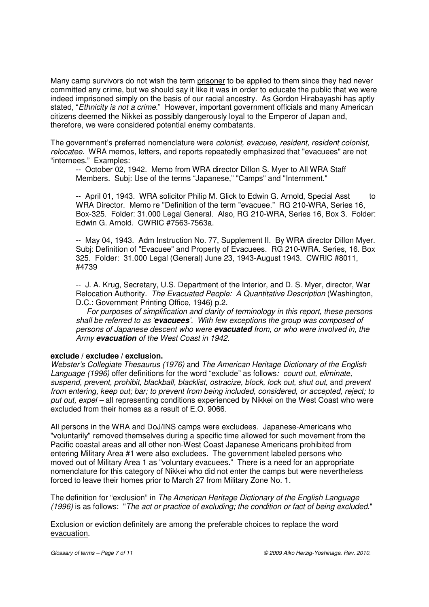Many camp survivors do not wish the term prisoner to be applied to them since they had never committed any crime, but we should say it like it was in order to educate the public that we were indeed imprisoned simply on the basis of our racial ancestry. As Gordon Hirabayashi has aptly stated, "Ethnicity is not a crime." However, important government officials and many American citizens deemed the Nikkei as possibly dangerously loyal to the Emperor of Japan and, therefore, we were considered potential enemy combatants.

The government's preferred nomenclature were colonist, evacuee, resident, resident colonist, relocatee. WRA memos, letters, and reports repeatedly emphasized that "evacuees" are not "internees." Examples:

 -- October 02, 1942. Memo from WRA director Dillon S. Myer to All WRA Staff Members. Subj: Use of the terms "Japanese," "Camps" and "Internment."

-- April 01, 1943. WRA solicitor Philip M. Glick to Edwin G. Arnold, Special Asst to WRA Director. Memo re "Definition of the term "evacuee." RG 210-WRA, Series 16, Box-325. Folder: 31.000 Legal General. Also, RG 210-WRA, Series 16, Box 3. Folder: Edwin G. Arnold. CWRIC #7563-7563a.

 -- May 04, 1943. Adm Instruction No. 77, Supplement II. By WRA director Dillon Myer. Subj: Definition of "Evacuee" and Property of Evacuees. RG 210-WRA. Series, 16. Box 325. Folder: 31.000 Legal (General) June 23, 1943-August 1943. CWRIC #8011, #4739

-- J. A. Krug, Secretary, U.S. Department of the Interior, and D. S. Myer, director, War Relocation Authority. The Evacuated People: A Quantitative Description (Washington, D.C.: Government Printing Office, 1946) p.2.

 For purposes of simplification and clarity of terminology in this report, these persons shall be referred to as '**evacuees**'. With few exceptions the group was composed of persons of Japanese descent who were **evacuated** from, or who were involved in, the Army **evacuation** of the West Coast in 1942.

# **exclude / excludee / exclusion.**

Webster's Collegiate Thesaurus (1976) and The American Heritage Dictionary of the English Language (1996) offer definitions for the word "exclude" as follows: count out, eliminate, suspend, prevent, prohibit, blackball, blacklist, ostracize, block, lock out, shut out, and prevent from entering, keep out; bar; to prevent from being included, considered, or accepted, reject; to put out, expel – all representing conditions experienced by Nikkei on the West Coast who were excluded from their homes as a result of E.O. 9066.

All persons in the WRA and DoJ/INS camps were excludees. Japanese-Americans who "voluntarily" removed themselves during a specific time allowed for such movement from the Pacific coastal areas and all other non-West Coast Japanese Americans prohibited from entering Military Area #1 were also excludees. The government labeled persons who moved out of Military Area 1 as "voluntary evacuees." There is a need for an appropriate nomenclature for this category of Nikkei who did not enter the camps but were nevertheless forced to leave their homes prior to March 27 from Military Zone No. 1.

The definition for "exclusion" in The American Heritage Dictionary of the English Language (1996) is as follows: "The act or practice of excluding; the condition or fact of being excluded."

Exclusion or eviction definitely are among the preferable choices to replace the word evacuation.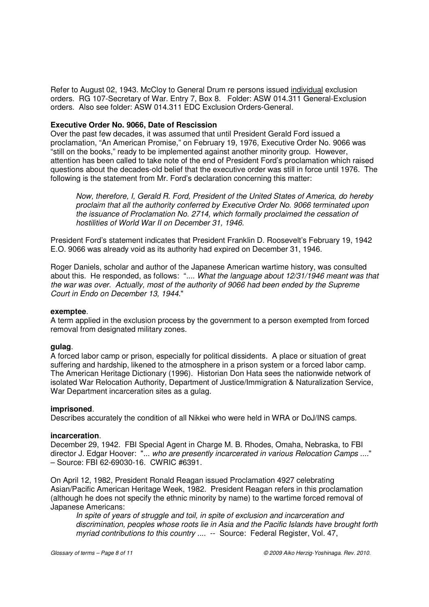Refer to August 02, 1943. McCloy to General Drum re persons issued individual exclusion orders. RG 107-Secretary of War. Entry 7, Box 8. Folder: ASW 014.311 General-Exclusion orders. Also see folder: ASW 014.311 EDC Exclusion Orders-General.

## **Executive Order No. 9066, Date of Rescission**

Over the past few decades, it was assumed that until President Gerald Ford issued a proclamation, "An American Promise," on February 19, 1976, Executive Order No. 9066 was "still on the books," ready to be implemented against another minority group. However, attention has been called to take note of the end of President Ford's proclamation which raised questions about the decades-old belief that the executive order was still in force until 1976. The following is the statement from Mr. Ford's declaration concerning this matter:

 Now, therefore, I, Gerald R. Ford, President of the United States of America, do hereby proclaim that all the authority conferred by Executive Order No. 9066 terminated upon the issuance of Proclamation No. 2714, which formally proclaimed the cessation of hostilities of World War II on December 31, 1946.

President Ford's statement indicates that President Franklin D. Roosevelt's February 19, 1942 E.O. 9066 was already void as its authority had expired on December 31, 1946.

Roger Daniels, scholar and author of the Japanese American wartime history, was consulted about this. He responded, as follows: ".... What the language about 12/31/1946 meant was that the war was over. Actually, most of the authority of 9066 had been ended by the Supreme Court in Endo on December 13, 1944."

#### **exemptee**.

A term applied in the exclusion process by the government to a person exempted from forced removal from designated military zones.

## **gulag**.

A forced labor camp or prison, especially for political dissidents. A place or situation of great suffering and hardship, likened to the atmosphere in a prison system or a forced labor camp. The American Heritage Dictionary (1996). Historian Don Hata sees the nationwide network of isolated War Relocation Authority, Department of Justice/Immigration & Naturalization Service, War Department incarceration sites as a gulag.

#### **imprisoned**.

Describes accurately the condition of all Nikkei who were held in WRA or DoJ/INS camps.

#### **incarceration**.

December 29, 1942. FBI Special Agent in Charge M. B. Rhodes, Omaha, Nebraska, to FBI director J. Edgar Hoover: "... who are presently incarcerated in various Relocation Camps ...." – Source: FBI 62-69030-16. CWRIC #6391.

On April 12, 1982, President Ronald Reagan issued Proclamation 4927 celebrating Asian/Pacific American Heritage Week, 1982. President Reagan refers in this proclamation (although he does not specify the ethnic minority by name) to the wartime forced removal of Japanese Americans:

In spite of years of struggle and toil, in spite of exclusion and incarceration and discrimination, peoples whose roots lie in Asia and the Pacific Islands have brought forth myriad contributions to this country .... -- Source: Federal Register, Vol. 47,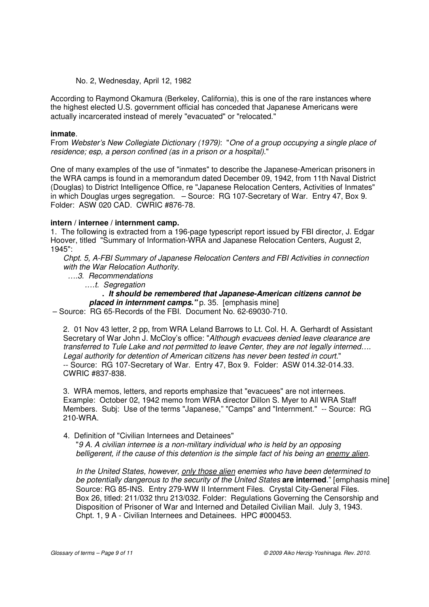## No. 2, Wednesday, April 12, 1982

According to Raymond Okamura (Berkeley, California), this is one of the rare instances where the highest elected U.S. government official has conceded that Japanese Americans were actually incarcerated instead of merely "evacuated" or "relocated."

## **inmate**.

From Webster's New Collegiate Dictionary (1979): "One of a group occupying a single place of residence; esp, a person confined (as in a prison or a hospital)."

One of many examples of the use of "inmates" to describe the Japanese-American prisoners in the WRA camps is found in a memorandum dated December 09, 1942, from 11th Naval District (Douglas) to District Intelligence Office, re "Japanese Relocation Centers, Activities of Inmates" in which Douglas urges segregation. – Source: RG 107-Secretary of War. Entry 47, Box 9. Folder: ASW 020 CAD. CWRIC #876-78.

## **intern / internee / internment camp.**

1. The following is extracted from a 196-page typescript report issued by FBI director, J. Edgar Hoover, titled "Summary of Information-WRA and Japanese Relocation Centers, August 2, 1945":

Chpt. 5, A-FBI Summary of Japanese Relocation Centers and FBI Activities in connection with the War Relocation Authority.

….3. Recommendations

.…t. Segregation

# **. It should be remembered that Japanese-American citizens cannot be placed in internment camps.**" p. 35. [emphasis mine]

– Source: RG 65-Records of the FBI. Document No. 62-69030-710.

2. 01 Nov 43 letter, 2 pp, from WRA Leland Barrows to Lt. Col. H. A. Gerhardt of Assistant Secretary of War John J. McCloy's office: "Although evacuees denied leave clearance are transferred to Tule Lake and not permitted to leave Center, they are not legally interned…. Legal authority for detention of American citizens has never been tested in court." -- Source: RG 107-Secretary of War. Entry 47, Box 9. Folder: ASW 014.32-014.33. CWRIC #837-838.

3. WRA memos, letters, and reports emphasize that "evacuees" are not internees. Example: October 02, 1942 memo from WRA director Dillon S. Myer to All WRA Staff Members. Subj: Use of the terms "Japanese," "Camps" and "Internment." -- Source: RG 210-WRA.

# 4. Definition of "Civilian Internees and Detainees"

 "9 A. A civilian internee is a non-military individual who is held by an opposing belligerent, if the cause of this detention is the simple fact of his being an enemy alien.

 In the United States, however, only those alien enemies who have been determined to be potentially dangerous to the security of the United States **are interned**." [emphasis mine] Source: RG 85-INS. Entry 279-WW II Internment Files. Crystal City-General Files. Box 26, titled: 211/032 thru 213/032. Folder: Regulations Governing the Censorship and Disposition of Prisoner of War and Interned and Detailed Civilian Mail. July 3, 1943. Chpt. 1, 9 A - Civilian Internees and Detainees. HPC #000453.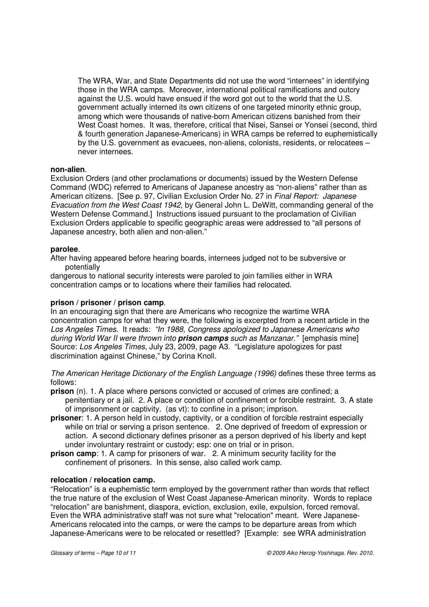The WRA, War, and State Departments did not use the word "internees" in identifying those in the WRA camps. Moreover, international political ramifications and outcry against the U.S. would have ensued if the word got out to the world that the U.S. government actually interned its own citizens of one targeted minority ethnic group, among which were thousands of native-born American citizens banished from their West Coast homes. It was, therefore, critical that Nisei, Sansei or Yonsei (second, third & fourth generation Japanese-Americans) in WRA camps be referred to euphemistically by the U.S. government as evacuees, non-aliens, colonists, residents, or relocatees – never internees.

## **non-alien**.

Exclusion Orders (and other proclamations or documents) issued by the Western Defense Command (WDC) referred to Americans of Japanese ancestry as "non-aliens" rather than as American citizens. [See p. 97, Civilian Exclusion Order No. 27 in Final Report: Japanese Evacuation from the West Coast 1942, by General John L. DeWitt, commanding general of the Western Defense Command.] Instructions issued pursuant to the proclamation of Civilian Exclusion Orders applicable to specific geographic areas were addressed to "all persons of Japanese ancestry, both alien and non-alien."

# **parolee**.

After having appeared before hearing boards, internees judged not to be subversive or potentially

dangerous to national security interests were paroled to join families either in WRA concentration camps or to locations where their families had relocated.

### **prison / prisoner / prison camp**.

In an encouraging sign that there are Americans who recognize the wartime WRA concentration camps for what they were, the following is excerpted from a recent article in the Los Angeles Times. It reads: "In 1988, Congress apologized to Japanese Americans who during World War II were thrown into **prison camps** such as Manzanar." [emphasis mine] Source: Los Angeles Times, July 23, 2009, page A3. "Legislature apologizes for past discrimination against Chinese," by Corina Knoll.

The American Heritage Dictionary of the English Language (1996) defines these three terms as follows:

- **prison** (n). 1. A place where persons convicted or accused of crimes are confined; a penitentiary or a jail. 2. A place or condition of confinement or forcible restraint. 3. A state of imprisonment or captivity. (as vt): to confine in a prison; imprison.
- **prisoner**: 1. A person held in custody, captivity, or a condition of forcible restraint especially while on trial or serving a prison sentence. 2. One deprived of freedom of expression or action. A second dictionary defines prisoner as a person deprived of his liberty and kept under involuntary restraint or custody; esp: one on trial or in prison.
- **prison camp**: 1. A camp for prisoners of war. 2. A minimum security facility for the confinement of prisoners. In this sense, also called work camp.

## **relocation / relocation camp.**

"Relocation" is a euphemistic term employed by the government rather than words that reflect the true nature of the exclusion of West Coast Japanese-American minority. Words to replace "relocation" are banishment, diaspora, eviction, exclusion, exile, expulsion, forced removal. Even the WRA administrative staff was not sure what "relocation" meant. Were Japanese-Americans relocated into the camps, or were the camps to be departure areas from which Japanese-Americans were to be relocated or resettled? [Example: see WRA administration